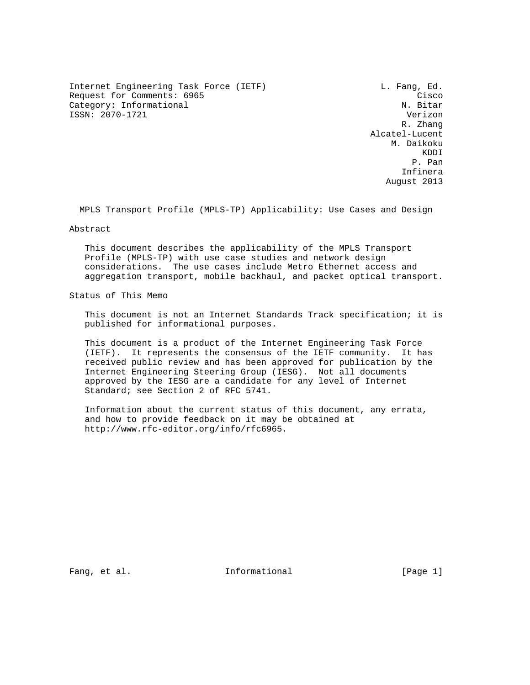Internet Engineering Task Force (IETF) and L. Fang, Ed. Request for Comments: 6965 Cisco Category: Informational Cisco Category: Informational Category: Informational ISSN: 2070-1721 Verizon

 R. Zhang Alcatel-Lucent M. Daikoku **KDDI**  P. Pan Infinera August 2013

MPLS Transport Profile (MPLS-TP) Applicability: Use Cases and Design

Abstract

 This document describes the applicability of the MPLS Transport Profile (MPLS-TP) with use case studies and network design considerations. The use cases include Metro Ethernet access and aggregation transport, mobile backhaul, and packet optical transport.

Status of This Memo

 This document is not an Internet Standards Track specification; it is published for informational purposes.

 This document is a product of the Internet Engineering Task Force (IETF). It represents the consensus of the IETF community. It has received public review and has been approved for publication by the Internet Engineering Steering Group (IESG). Not all documents approved by the IESG are a candidate for any level of Internet Standard; see Section 2 of RFC 5741.

 Information about the current status of this document, any errata, and how to provide feedback on it may be obtained at http://www.rfc-editor.org/info/rfc6965.

Fang, et al. Informational [Page 1]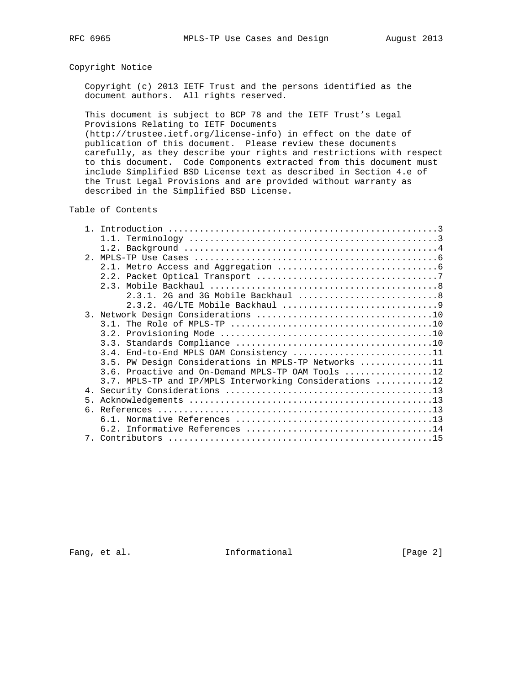## Copyright Notice

 Copyright (c) 2013 IETF Trust and the persons identified as the document authors. All rights reserved.

 This document is subject to BCP 78 and the IETF Trust's Legal Provisions Relating to IETF Documents (http://trustee.ietf.org/license-info) in effect on the date of publication of this document. Please review these documents carefully, as they describe your rights and restrictions with respect to this document. Code Components extracted from this document must

 include Simplified BSD License text as described in Section 4.e of the Trust Legal Provisions and are provided without warranty as described in the Simplified BSD License.

## Table of Contents

|                | 1.1.                                                    |  |  |
|----------------|---------------------------------------------------------|--|--|
|                |                                                         |  |  |
|                |                                                         |  |  |
|                |                                                         |  |  |
|                |                                                         |  |  |
|                |                                                         |  |  |
|                |                                                         |  |  |
|                |                                                         |  |  |
|                |                                                         |  |  |
|                |                                                         |  |  |
|                |                                                         |  |  |
|                |                                                         |  |  |
|                | 3.4. End-to-End MPLS OAM Consistency 11                 |  |  |
|                | 3.5. PW Design Considerations in MPLS-TP Networks 11    |  |  |
|                | 3.6. Proactive and On-Demand MPLS-TP OAM Tools 12       |  |  |
|                | 3.7. MPLS-TP and IP/MPLS Interworking Considerations 12 |  |  |
|                |                                                         |  |  |
| 5 <sub>1</sub> |                                                         |  |  |
|                |                                                         |  |  |
|                |                                                         |  |  |
|                |                                                         |  |  |
|                |                                                         |  |  |

Fang, et al. 1nformational 1999 [Page 2]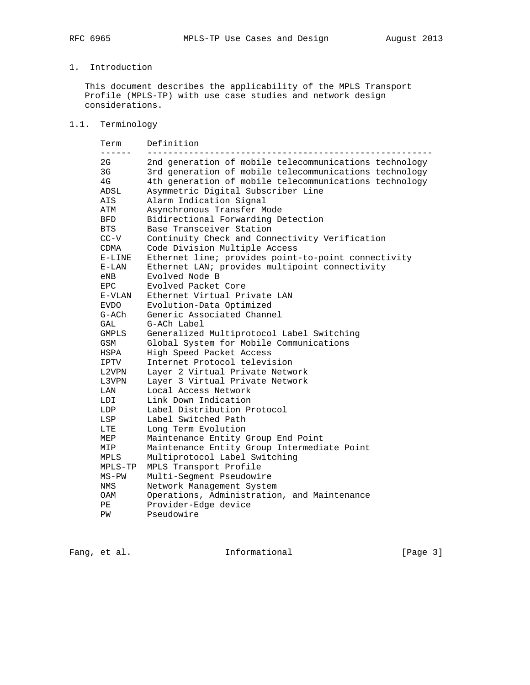# 1. Introduction

 This document describes the applicability of the MPLS Transport Profile (MPLS-TP) with use case studies and network design considerations.

# 1.1. Terminology

| Term<br>------ | Definition                                             |
|----------------|--------------------------------------------------------|
| 2G             | 2nd generation of mobile telecommunications technology |
| 3G             | 3rd generation of mobile telecommunications technology |
| 4G             | 4th generation of mobile telecommunications technology |
| ADSL           | Asymmetric Digital Subscriber Line                     |
| AIS            | Alarm Indication Signal                                |
| ATM            | Asynchronous Transfer Mode                             |
| BFD            | Bidirectional Forwarding Detection                     |
| BTS            | Base Transceiver Station                               |
| $CC-V$         | Continuity Check and Connectivity Verification         |
| CDMA           | Code Division Multiple Access                          |
| $E-LINE$       | Ethernet line; provides point-to-point connectivity    |
| $E-LAN$        | Ethernet LAN; provides multipoint connectivity         |
| eNB            | Evolved Node B                                         |
| EPC.           | Evolved Packet Core                                    |
| E-VLAN         | Ethernet Virtual Private LAN                           |
| <b>EVDO</b>    | Evolution-Data Optimized                               |
| G-ACh          | Generic Associated Channel                             |
| GAL            | G-ACh Label                                            |
| <b>GMPLS</b>   | Generalized Multiprotocol Label Switching              |
| <b>GSM</b>     | Global System for Mobile Communications                |
| HSPA           | High Speed Packet Access                               |
| IPTV           | Internet Protocol television                           |
| L2VPN          | Layer 2 Virtual Private Network                        |
| L3VPN          | Layer 3 Virtual Private Network                        |
| LAN            | Local Access Network                                   |
| LDI            | Link Down Indication                                   |
| LDP            | Label Distribution Protocol                            |
| LSP            | Label Switched Path                                    |
| LTE.           | Long Term Evolution                                    |
| MEP            | Maintenance Entity Group End Point                     |
| MIP            | Maintenance Entity Group Intermediate Point            |
| MPLS           | Multiprotocol Label Switching                          |
| MPLS-TP        | MPLS Transport Profile                                 |
| $MS-PW$        | Multi-Segment Pseudowire                               |
| NMS            | Network Management System                              |
| OAM            | Operations, Administration, and Maintenance            |
| PЕ             | Provider-Edge device                                   |
| ΡW             | Pseudowire                                             |

Fang, et al. 1nformational [Page 3]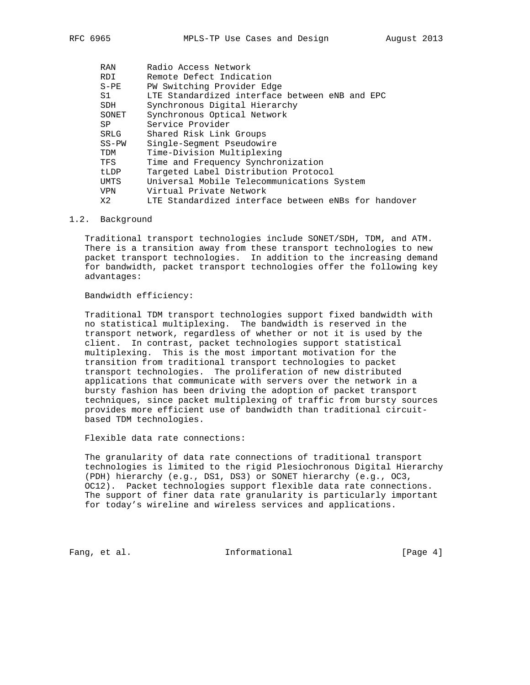| RAN        | Radio Access Network                                 |
|------------|------------------------------------------------------|
| RDI        | Remote Defect Indication                             |
| $S-PE$     | PW Switching Provider Edge                           |
| S1         | LTE Standardized interface between eNB and EPC       |
| SDH        | Synchronous Digital Hierarchy                        |
| SONET      | Synchronous Optical Network                          |
| SP.        | Service Provider                                     |
| SRLG       | Shared Risk Link Groups                              |
| $SS-PW$    | Single-Segment Pseudowire                            |
| TDM        | Time-Division Multiplexing                           |
| TFS        | Time and Frequency Synchronization                   |
| tLDP       | Targeted Label Distribution Protocol                 |
| UMTS       | Universal Mobile Telecommunications System           |
| <b>VPN</b> | Virtual Private Network                              |
| X2         | LTE Standardized interface between eNBs for handover |
|            |                                                      |

#### 1.2. Background

 Traditional transport technologies include SONET/SDH, TDM, and ATM. There is a transition away from these transport technologies to new packet transport technologies. In addition to the increasing demand for bandwidth, packet transport technologies offer the following key advantages:

### Bandwidth efficiency:

 Traditional TDM transport technologies support fixed bandwidth with no statistical multiplexing. The bandwidth is reserved in the transport network, regardless of whether or not it is used by the client. In contrast, packet technologies support statistical multiplexing. This is the most important motivation for the transition from traditional transport technologies to packet transport technologies. The proliferation of new distributed applications that communicate with servers over the network in a bursty fashion has been driving the adoption of packet transport techniques, since packet multiplexing of traffic from bursty sources provides more efficient use of bandwidth than traditional circuit based TDM technologies.

Flexible data rate connections:

 The granularity of data rate connections of traditional transport technologies is limited to the rigid Plesiochronous Digital Hierarchy (PDH) hierarchy (e.g., DS1, DS3) or SONET hierarchy (e.g., OC3, OC12). Packet technologies support flexible data rate connections. The support of finer data rate granularity is particularly important for today's wireline and wireless services and applications.

Fang, et al. 10. Informational 1. The same state of  $[Page 4]$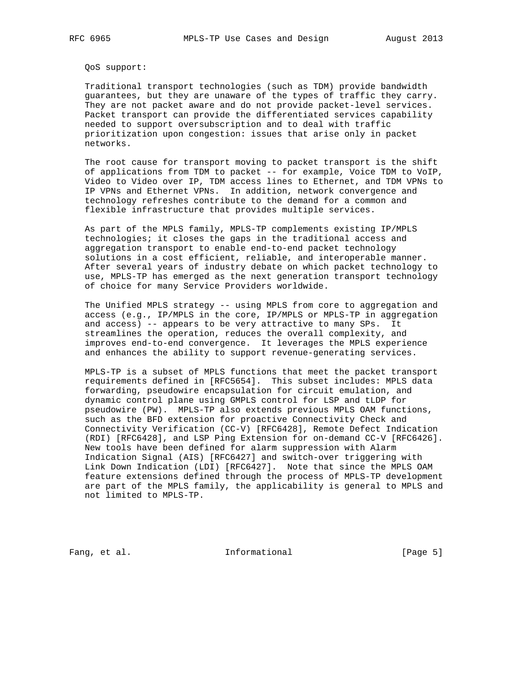QoS support:

 Traditional transport technologies (such as TDM) provide bandwidth guarantees, but they are unaware of the types of traffic they carry. They are not packet aware and do not provide packet-level services. Packet transport can provide the differentiated services capability needed to support oversubscription and to deal with traffic prioritization upon congestion: issues that arise only in packet networks.

 The root cause for transport moving to packet transport is the shift of applications from TDM to packet -- for example, Voice TDM to VoIP, Video to Video over IP, TDM access lines to Ethernet, and TDM VPNs to IP VPNs and Ethernet VPNs. In addition, network convergence and technology refreshes contribute to the demand for a common and flexible infrastructure that provides multiple services.

 As part of the MPLS family, MPLS-TP complements existing IP/MPLS technologies; it closes the gaps in the traditional access and aggregation transport to enable end-to-end packet technology solutions in a cost efficient, reliable, and interoperable manner. After several years of industry debate on which packet technology to use, MPLS-TP has emerged as the next generation transport technology of choice for many Service Providers worldwide.

 The Unified MPLS strategy -- using MPLS from core to aggregation and access (e.g., IP/MPLS in the core, IP/MPLS or MPLS-TP in aggregation and access) -- appears to be very attractive to many SPs. It streamlines the operation, reduces the overall complexity, and improves end-to-end convergence. It leverages the MPLS experience and enhances the ability to support revenue-generating services.

 MPLS-TP is a subset of MPLS functions that meet the packet transport requirements defined in [RFC5654]. This subset includes: MPLS data forwarding, pseudowire encapsulation for circuit emulation, and dynamic control plane using GMPLS control for LSP and tLDP for pseudowire (PW). MPLS-TP also extends previous MPLS OAM functions, such as the BFD extension for proactive Connectivity Check and Connectivity Verification (CC-V) [RFC6428], Remote Defect Indication (RDI) [RFC6428], and LSP Ping Extension for on-demand CC-V [RFC6426]. New tools have been defined for alarm suppression with Alarm Indication Signal (AIS) [RFC6427] and switch-over triggering with Link Down Indication (LDI) [RFC6427]. Note that since the MPLS OAM feature extensions defined through the process of MPLS-TP development are part of the MPLS family, the applicability is general to MPLS and not limited to MPLS-TP.

Fang, et al. 10 1nformational 100 [Page 5]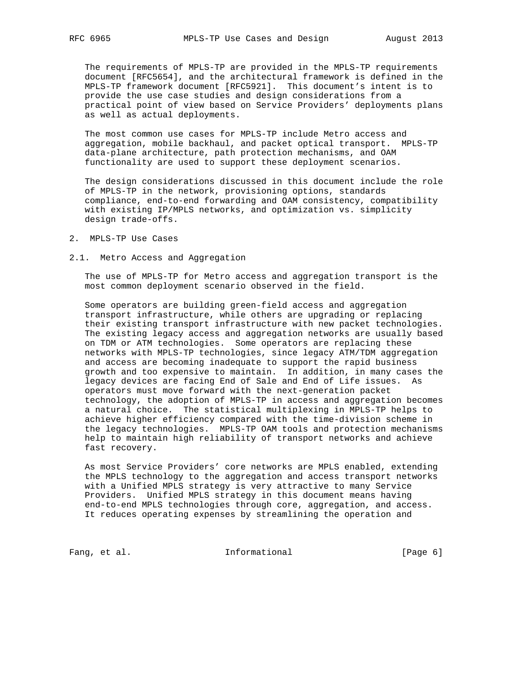The requirements of MPLS-TP are provided in the MPLS-TP requirements document [RFC5654], and the architectural framework is defined in the MPLS-TP framework document [RFC5921]. This document's intent is to provide the use case studies and design considerations from a practical point of view based on Service Providers' deployments plans as well as actual deployments.

 The most common use cases for MPLS-TP include Metro access and aggregation, mobile backhaul, and packet optical transport. MPLS-TP data-plane architecture, path protection mechanisms, and OAM functionality are used to support these deployment scenarios.

 The design considerations discussed in this document include the role of MPLS-TP in the network, provisioning options, standards compliance, end-to-end forwarding and OAM consistency, compatibility with existing IP/MPLS networks, and optimization vs. simplicity design trade-offs.

2. MPLS-TP Use Cases

#### 2.1. Metro Access and Aggregation

 The use of MPLS-TP for Metro access and aggregation transport is the most common deployment scenario observed in the field.

 Some operators are building green-field access and aggregation transport infrastructure, while others are upgrading or replacing their existing transport infrastructure with new packet technologies. The existing legacy access and aggregation networks are usually based on TDM or ATM technologies. Some operators are replacing these networks with MPLS-TP technologies, since legacy ATM/TDM aggregation and access are becoming inadequate to support the rapid business growth and too expensive to maintain. In addition, in many cases the legacy devices are facing End of Sale and End of Life issues. As operators must move forward with the next-generation packet technology, the adoption of MPLS-TP in access and aggregation becomes a natural choice. The statistical multiplexing in MPLS-TP helps to achieve higher efficiency compared with the time-division scheme in the legacy technologies. MPLS-TP OAM tools and protection mechanisms help to maintain high reliability of transport networks and achieve fast recovery.

 As most Service Providers' core networks are MPLS enabled, extending the MPLS technology to the aggregation and access transport networks with a Unified MPLS strategy is very attractive to many Service Providers. Unified MPLS strategy in this document means having end-to-end MPLS technologies through core, aggregation, and access. It reduces operating expenses by streamlining the operation and

Fang, et al. 10 Informational 10 [Page 6]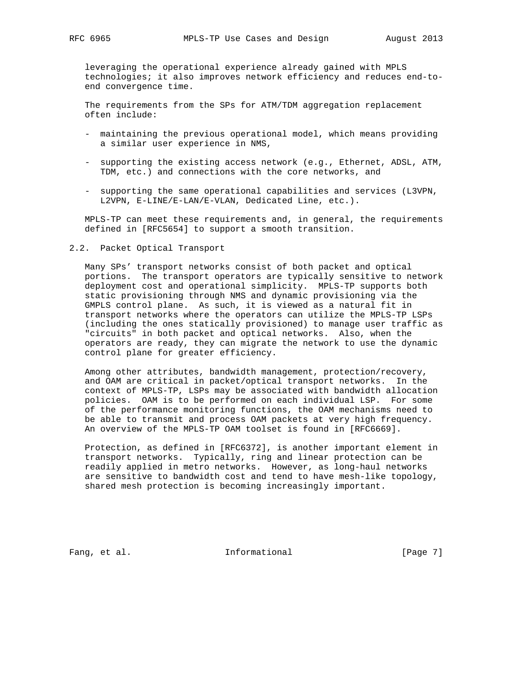leveraging the operational experience already gained with MPLS technologies; it also improves network efficiency and reduces end-to end convergence time.

 The requirements from the SPs for ATM/TDM aggregation replacement often include:

- maintaining the previous operational model, which means providing a similar user experience in NMS,
- supporting the existing access network (e.g., Ethernet, ADSL, ATM, TDM, etc.) and connections with the core networks, and
- supporting the same operational capabilities and services (L3VPN, L2VPN, E-LINE/E-LAN/E-VLAN, Dedicated Line, etc.).

 MPLS-TP can meet these requirements and, in general, the requirements defined in [RFC5654] to support a smooth transition.

2.2. Packet Optical Transport

 Many SPs' transport networks consist of both packet and optical portions. The transport operators are typically sensitive to network deployment cost and operational simplicity. MPLS-TP supports both static provisioning through NMS and dynamic provisioning via the GMPLS control plane. As such, it is viewed as a natural fit in transport networks where the operators can utilize the MPLS-TP LSPs (including the ones statically provisioned) to manage user traffic as "circuits" in both packet and optical networks. Also, when the operators are ready, they can migrate the network to use the dynamic control plane for greater efficiency.

 Among other attributes, bandwidth management, protection/recovery, and OAM are critical in packet/optical transport networks. In the context of MPLS-TP, LSPs may be associated with bandwidth allocation policies. OAM is to be performed on each individual LSP. For some of the performance monitoring functions, the OAM mechanisms need to be able to transmit and process OAM packets at very high frequency. An overview of the MPLS-TP OAM toolset is found in [RFC6669].

 Protection, as defined in [RFC6372], is another important element in transport networks. Typically, ring and linear protection can be readily applied in metro networks. However, as long-haul networks are sensitive to bandwidth cost and tend to have mesh-like topology, shared mesh protection is becoming increasingly important.

Fang, et al. 10 Informational 10 [Page 7]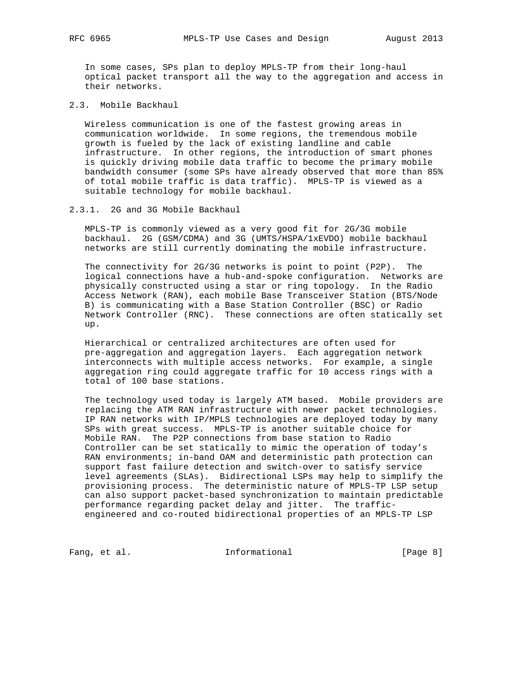In some cases, SPs plan to deploy MPLS-TP from their long-haul optical packet transport all the way to the aggregation and access in their networks.

2.3. Mobile Backhaul

 Wireless communication is one of the fastest growing areas in communication worldwide. In some regions, the tremendous mobile growth is fueled by the lack of existing landline and cable infrastructure. In other regions, the introduction of smart phones is quickly driving mobile data traffic to become the primary mobile bandwidth consumer (some SPs have already observed that more than 85% of total mobile traffic is data traffic). MPLS-TP is viewed as a suitable technology for mobile backhaul.

### 2.3.1. 2G and 3G Mobile Backhaul

 MPLS-TP is commonly viewed as a very good fit for 2G/3G mobile backhaul. 2G (GSM/CDMA) and 3G (UMTS/HSPA/1xEVDO) mobile backhaul networks are still currently dominating the mobile infrastructure.

 The connectivity for 2G/3G networks is point to point (P2P). The logical connections have a hub-and-spoke configuration. Networks are physically constructed using a star or ring topology. In the Radio Access Network (RAN), each mobile Base Transceiver Station (BTS/Node B) is communicating with a Base Station Controller (BSC) or Radio Network Controller (RNC). These connections are often statically set up.

 Hierarchical or centralized architectures are often used for pre-aggregation and aggregation layers. Each aggregation network interconnects with multiple access networks. For example, a single aggregation ring could aggregate traffic for 10 access rings with a total of 100 base stations.

 The technology used today is largely ATM based. Mobile providers are replacing the ATM RAN infrastructure with newer packet technologies. IP RAN networks with IP/MPLS technologies are deployed today by many SPs with great success. MPLS-TP is another suitable choice for Mobile RAN. The P2P connections from base station to Radio Controller can be set statically to mimic the operation of today's RAN environments; in-band OAM and deterministic path protection can support fast failure detection and switch-over to satisfy service level agreements (SLAs). Bidirectional LSPs may help to simplify the provisioning process. The deterministic nature of MPLS-TP LSP setup can also support packet-based synchronization to maintain predictable performance regarding packet delay and jitter. The traffic engineered and co-routed bidirectional properties of an MPLS-TP LSP

Fang, et al. 10 Informational 10 [Page 8]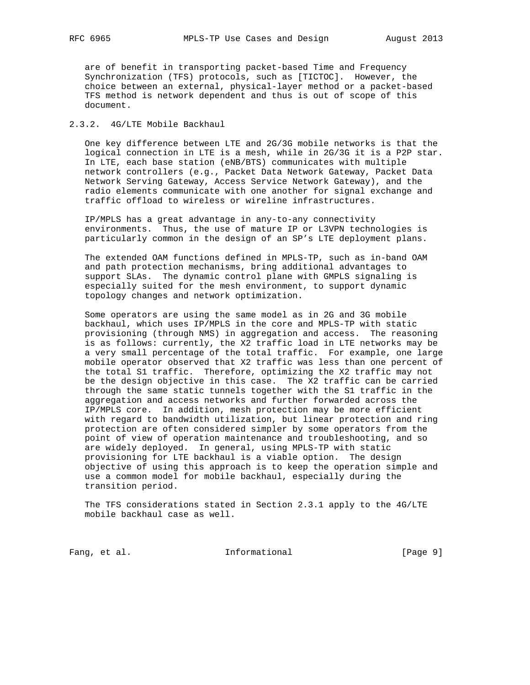are of benefit in transporting packet-based Time and Frequency Synchronization (TFS) protocols, such as [TICTOC]. However, the choice between an external, physical-layer method or a packet-based TFS method is network dependent and thus is out of scope of this document.

# 2.3.2. 4G/LTE Mobile Backhaul

 One key difference between LTE and 2G/3G mobile networks is that the logical connection in LTE is a mesh, while in 2G/3G it is a P2P star. In LTE, each base station (eNB/BTS) communicates with multiple network controllers (e.g., Packet Data Network Gateway, Packet Data Network Serving Gateway, Access Service Network Gateway), and the radio elements communicate with one another for signal exchange and traffic offload to wireless or wireline infrastructures.

 IP/MPLS has a great advantage in any-to-any connectivity environments. Thus, the use of mature IP or L3VPN technologies is particularly common in the design of an SP's LTE deployment plans.

 The extended OAM functions defined in MPLS-TP, such as in-band OAM and path protection mechanisms, bring additional advantages to support SLAs. The dynamic control plane with GMPLS signaling is especially suited for the mesh environment, to support dynamic topology changes and network optimization.

 Some operators are using the same model as in 2G and 3G mobile backhaul, which uses IP/MPLS in the core and MPLS-TP with static provisioning (through NMS) in aggregation and access. The reasoning is as follows: currently, the X2 traffic load in LTE networks may be a very small percentage of the total traffic. For example, one large mobile operator observed that X2 traffic was less than one percent of the total S1 traffic. Therefore, optimizing the X2 traffic may not be the design objective in this case. The X2 traffic can be carried through the same static tunnels together with the S1 traffic in the aggregation and access networks and further forwarded across the IP/MPLS core. In addition, mesh protection may be more efficient with regard to bandwidth utilization, but linear protection and ring protection are often considered simpler by some operators from the point of view of operation maintenance and troubleshooting, and so are widely deployed. In general, using MPLS-TP with static provisioning for LTE backhaul is a viable option. The design objective of using this approach is to keep the operation simple and use a common model for mobile backhaul, especially during the transition period.

 The TFS considerations stated in Section 2.3.1 apply to the 4G/LTE mobile backhaul case as well.

Fang, et al. 10 Informational 10 [Page 9]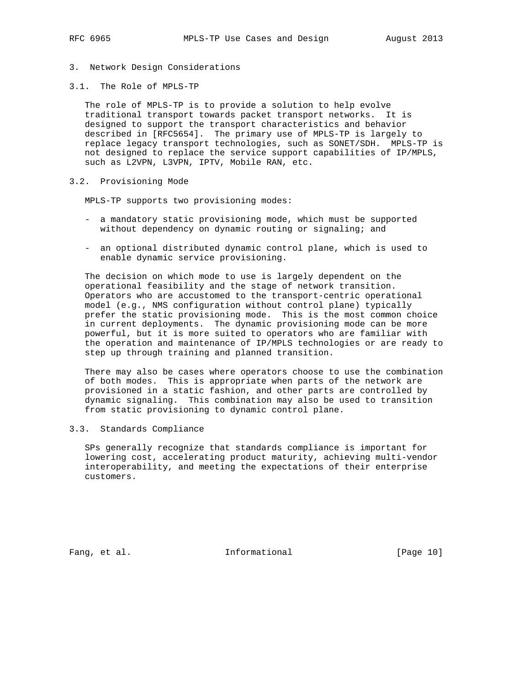- 3. Network Design Considerations
- 3.1. The Role of MPLS-TP

 The role of MPLS-TP is to provide a solution to help evolve traditional transport towards packet transport networks. It is designed to support the transport characteristics and behavior described in [RFC5654]. The primary use of MPLS-TP is largely to replace legacy transport technologies, such as SONET/SDH. MPLS-TP is not designed to replace the service support capabilities of IP/MPLS, such as L2VPN, L3VPN, IPTV, Mobile RAN, etc.

3.2. Provisioning Mode

MPLS-TP supports two provisioning modes:

- a mandatory static provisioning mode, which must be supported without dependency on dynamic routing or signaling; and
- an optional distributed dynamic control plane, which is used to enable dynamic service provisioning.

 The decision on which mode to use is largely dependent on the operational feasibility and the stage of network transition. Operators who are accustomed to the transport-centric operational model (e.g., NMS configuration without control plane) typically prefer the static provisioning mode. This is the most common choice in current deployments. The dynamic provisioning mode can be more powerful, but it is more suited to operators who are familiar with the operation and maintenance of IP/MPLS technologies or are ready to step up through training and planned transition.

 There may also be cases where operators choose to use the combination of both modes. This is appropriate when parts of the network are provisioned in a static fashion, and other parts are controlled by dynamic signaling. This combination may also be used to transition from static provisioning to dynamic control plane.

## 3.3. Standards Compliance

 SPs generally recognize that standards compliance is important for lowering cost, accelerating product maturity, achieving multi-vendor interoperability, and meeting the expectations of their enterprise customers.

Fang, et al. 10 Informational [Page 10]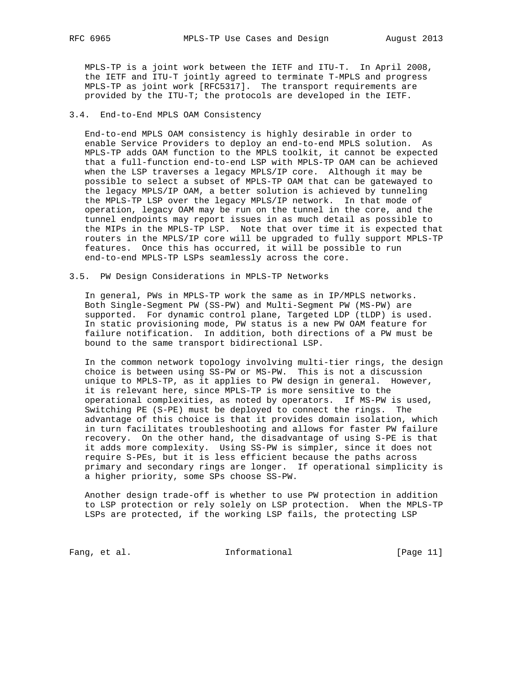MPLS-TP is a joint work between the IETF and ITU-T. In April 2008, the IETF and ITU-T jointly agreed to terminate T-MPLS and progress MPLS-TP as joint work [RFC5317]. The transport requirements are provided by the ITU-T; the protocols are developed in the IETF.

### 3.4. End-to-End MPLS OAM Consistency

 End-to-end MPLS OAM consistency is highly desirable in order to enable Service Providers to deploy an end-to-end MPLS solution. As MPLS-TP adds OAM function to the MPLS toolkit, it cannot be expected that a full-function end-to-end LSP with MPLS-TP OAM can be achieved when the LSP traverses a legacy MPLS/IP core. Although it may be possible to select a subset of MPLS-TP OAM that can be gatewayed to the legacy MPLS/IP OAM, a better solution is achieved by tunneling the MPLS-TP LSP over the legacy MPLS/IP network. In that mode of operation, legacy OAM may be run on the tunnel in the core, and the tunnel endpoints may report issues in as much detail as possible to the MIPs in the MPLS-TP LSP. Note that over time it is expected that routers in the MPLS/IP core will be upgraded to fully support MPLS-TP features. Once this has occurred, it will be possible to run end-to-end MPLS-TP LSPs seamlessly across the core.

#### 3.5. PW Design Considerations in MPLS-TP Networks

 In general, PWs in MPLS-TP work the same as in IP/MPLS networks. Both Single-Segment PW (SS-PW) and Multi-Segment PW (MS-PW) are supported. For dynamic control plane, Targeted LDP (tLDP) is used. In static provisioning mode, PW status is a new PW OAM feature for failure notification. In addition, both directions of a PW must be bound to the same transport bidirectional LSP.

 In the common network topology involving multi-tier rings, the design choice is between using SS-PW or MS-PW. This is not a discussion unique to MPLS-TP, as it applies to PW design in general. However, it is relevant here, since MPLS-TP is more sensitive to the operational complexities, as noted by operators. If MS-PW is used, Switching PE (S-PE) must be deployed to connect the rings. The advantage of this choice is that it provides domain isolation, which in turn facilitates troubleshooting and allows for faster PW failure recovery. On the other hand, the disadvantage of using S-PE is that it adds more complexity. Using SS-PW is simpler, since it does not require S-PEs, but it is less efficient because the paths across primary and secondary rings are longer. If operational simplicity is a higher priority, some SPs choose SS-PW.

 Another design trade-off is whether to use PW protection in addition to LSP protection or rely solely on LSP protection. When the MPLS-TP LSPs are protected, if the working LSP fails, the protecting LSP

Fang, et al. 10. Informational [Page 11]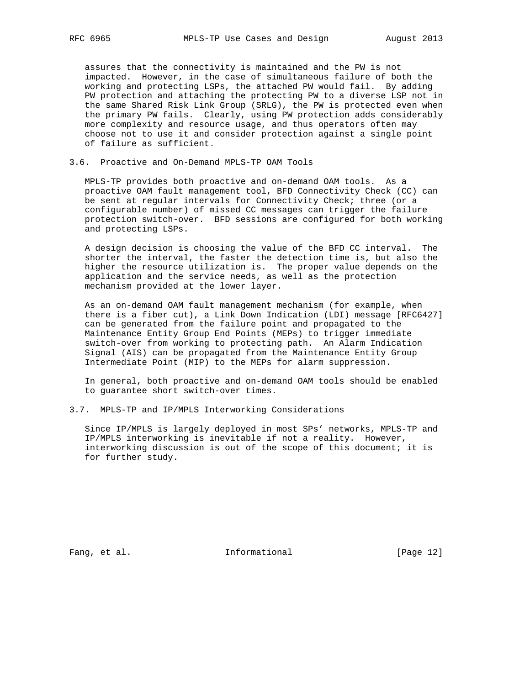assures that the connectivity is maintained and the PW is not impacted. However, in the case of simultaneous failure of both the working and protecting LSPs, the attached PW would fail. By adding PW protection and attaching the protecting PW to a diverse LSP not in the same Shared Risk Link Group (SRLG), the PW is protected even when the primary PW fails. Clearly, using PW protection adds considerably more complexity and resource usage, and thus operators often may choose not to use it and consider protection against a single point of failure as sufficient.

### 3.6. Proactive and On-Demand MPLS-TP OAM Tools

 MPLS-TP provides both proactive and on-demand OAM tools. As a proactive OAM fault management tool, BFD Connectivity Check (CC) can be sent at regular intervals for Connectivity Check; three (or a configurable number) of missed CC messages can trigger the failure protection switch-over. BFD sessions are configured for both working and protecting LSPs.

 A design decision is choosing the value of the BFD CC interval. The shorter the interval, the faster the detection time is, but also the higher the resource utilization is. The proper value depends on the application and the service needs, as well as the protection mechanism provided at the lower layer.

 As an on-demand OAM fault management mechanism (for example, when there is a fiber cut), a Link Down Indication (LDI) message [RFC6427] can be generated from the failure point and propagated to the Maintenance Entity Group End Points (MEPs) to trigger immediate switch-over from working to protecting path. An Alarm Indication Signal (AIS) can be propagated from the Maintenance Entity Group Intermediate Point (MIP) to the MEPs for alarm suppression.

 In general, both proactive and on-demand OAM tools should be enabled to guarantee short switch-over times.

3.7. MPLS-TP and IP/MPLS Interworking Considerations

 Since IP/MPLS is largely deployed in most SPs' networks, MPLS-TP and IP/MPLS interworking is inevitable if not a reality. However, interworking discussion is out of the scope of this document; it is for further study.

Fang, et al. 10. Informational [Page 12]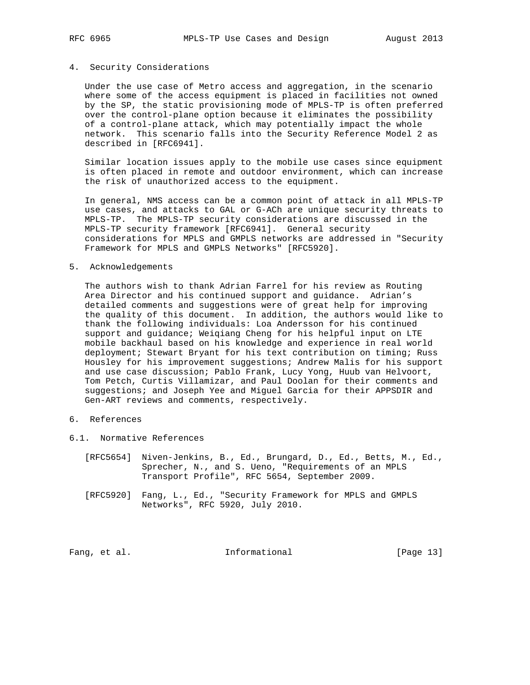### 4. Security Considerations

 Under the use case of Metro access and aggregation, in the scenario where some of the access equipment is placed in facilities not owned by the SP, the static provisioning mode of MPLS-TP is often preferred over the control-plane option because it eliminates the possibility of a control-plane attack, which may potentially impact the whole network. This scenario falls into the Security Reference Model 2 as described in [RFC6941].

 Similar location issues apply to the mobile use cases since equipment is often placed in remote and outdoor environment, which can increase the risk of unauthorized access to the equipment.

 In general, NMS access can be a common point of attack in all MPLS-TP use cases, and attacks to GAL or G-ACh are unique security threats to MPLS-TP. The MPLS-TP security considerations are discussed in the MPLS-TP security framework [RFC6941]. General security considerations for MPLS and GMPLS networks are addressed in "Security Framework for MPLS and GMPLS Networks" [RFC5920].

#### 5. Acknowledgements

 The authors wish to thank Adrian Farrel for his review as Routing Area Director and his continued support and guidance. Adrian's detailed comments and suggestions were of great help for improving the quality of this document. In addition, the authors would like to thank the following individuals: Loa Andersson for his continued support and guidance; Weiqiang Cheng for his helpful input on LTE mobile backhaul based on his knowledge and experience in real world deployment; Stewart Bryant for his text contribution on timing; Russ Housley for his improvement suggestions; Andrew Malis for his support and use case discussion; Pablo Frank, Lucy Yong, Huub van Helvoort, Tom Petch, Curtis Villamizar, and Paul Doolan for their comments and suggestions; and Joseph Yee and Miguel Garcia for their APPSDIR and Gen-ART reviews and comments, respectively.

## 6. References

- 6.1. Normative References
	- [RFC5654] Niven-Jenkins, B., Ed., Brungard, D., Ed., Betts, M., Ed., Sprecher, N., and S. Ueno, "Requirements of an MPLS Transport Profile", RFC 5654, September 2009.
	- [RFC5920] Fang, L., Ed., "Security Framework for MPLS and GMPLS Networks", RFC 5920, July 2010.

Fang, et al. 10. Informational [Page 13]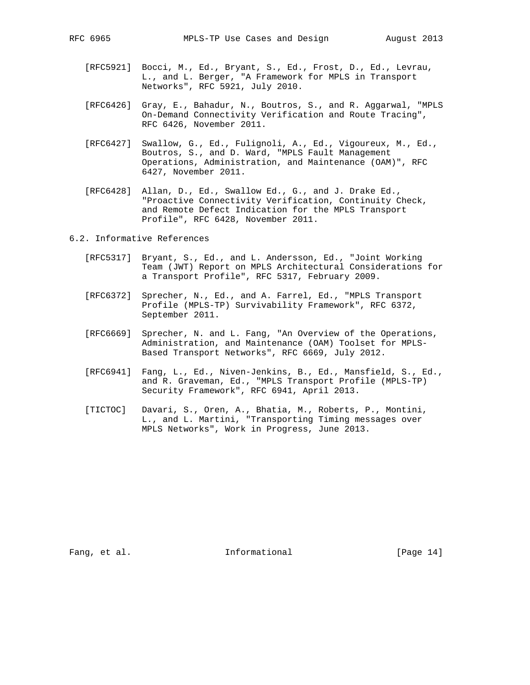- [RFC5921] Bocci, M., Ed., Bryant, S., Ed., Frost, D., Ed., Levrau, L., and L. Berger, "A Framework for MPLS in Transport Networks", RFC 5921, July 2010.
- [RFC6426] Gray, E., Bahadur, N., Boutros, S., and R. Aggarwal, "MPLS On-Demand Connectivity Verification and Route Tracing", RFC 6426, November 2011.
- [RFC6427] Swallow, G., Ed., Fulignoli, A., Ed., Vigoureux, M., Ed., Boutros, S., and D. Ward, "MPLS Fault Management Operations, Administration, and Maintenance (OAM)", RFC 6427, November 2011.
- [RFC6428] Allan, D., Ed., Swallow Ed., G., and J. Drake Ed., "Proactive Connectivity Verification, Continuity Check, and Remote Defect Indication for the MPLS Transport Profile", RFC 6428, November 2011.

6.2. Informative References

- [RFC5317] Bryant, S., Ed., and L. Andersson, Ed., "Joint Working Team (JWT) Report on MPLS Architectural Considerations for a Transport Profile", RFC 5317, February 2009.
- [RFC6372] Sprecher, N., Ed., and A. Farrel, Ed., "MPLS Transport Profile (MPLS-TP) Survivability Framework", RFC 6372, September 2011.
- [RFC6669] Sprecher, N. and L. Fang, "An Overview of the Operations, Administration, and Maintenance (OAM) Toolset for MPLS- Based Transport Networks", RFC 6669, July 2012.
- [RFC6941] Fang, L., Ed., Niven-Jenkins, B., Ed., Mansfield, S., Ed., and R. Graveman, Ed., "MPLS Transport Profile (MPLS-TP) Security Framework", RFC 6941, April 2013.
- [TICTOC] Davari, S., Oren, A., Bhatia, M., Roberts, P., Montini, L., and L. Martini, "Transporting Timing messages over MPLS Networks", Work in Progress, June 2013.

Fang, et al. 10. Informational [Page 14]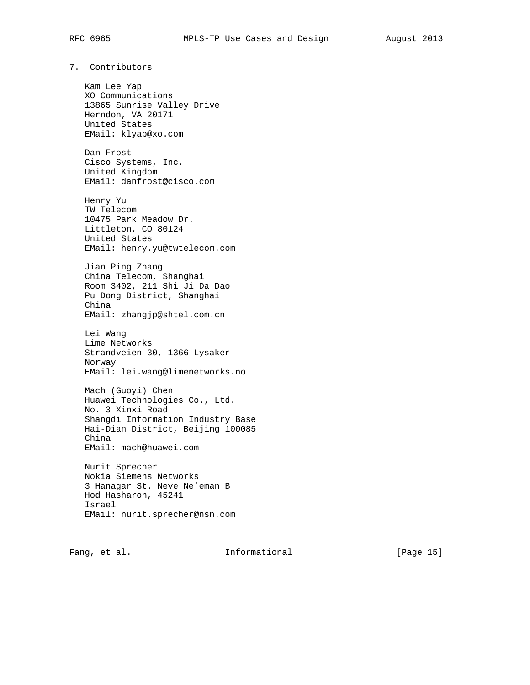# 7. Contributors

 Kam Lee Yap XO Communications 13865 Sunrise Valley Drive Herndon, VA 20171 United States EMail: klyap@xo.com

 Dan Frost Cisco Systems, Inc. United Kingdom EMail: danfrost@cisco.com

 Henry Yu TW Telecom 10475 Park Meadow Dr. Littleton, CO 80124 United States EMail: henry.yu@twtelecom.com

 Jian Ping Zhang China Telecom, Shanghai Room 3402, 211 Shi Ji Da Dao Pu Dong District, Shanghai China EMail: zhangjp@shtel.com.cn

 Lei Wang Lime Networks Strandveien 30, 1366 Lysaker Norway EMail: lei.wang@limenetworks.no

 Mach (Guoyi) Chen Huawei Technologies Co., Ltd. No. 3 Xinxi Road Shangdi Information Industry Base Hai-Dian District, Beijing 100085 China EMail: mach@huawei.com

 Nurit Sprecher Nokia Siemens Networks 3 Hanagar St. Neve Ne'eman B Hod Hasharon, 45241 Israel EMail: nurit.sprecher@nsn.com

Fang, et al. Informational [Page 15]